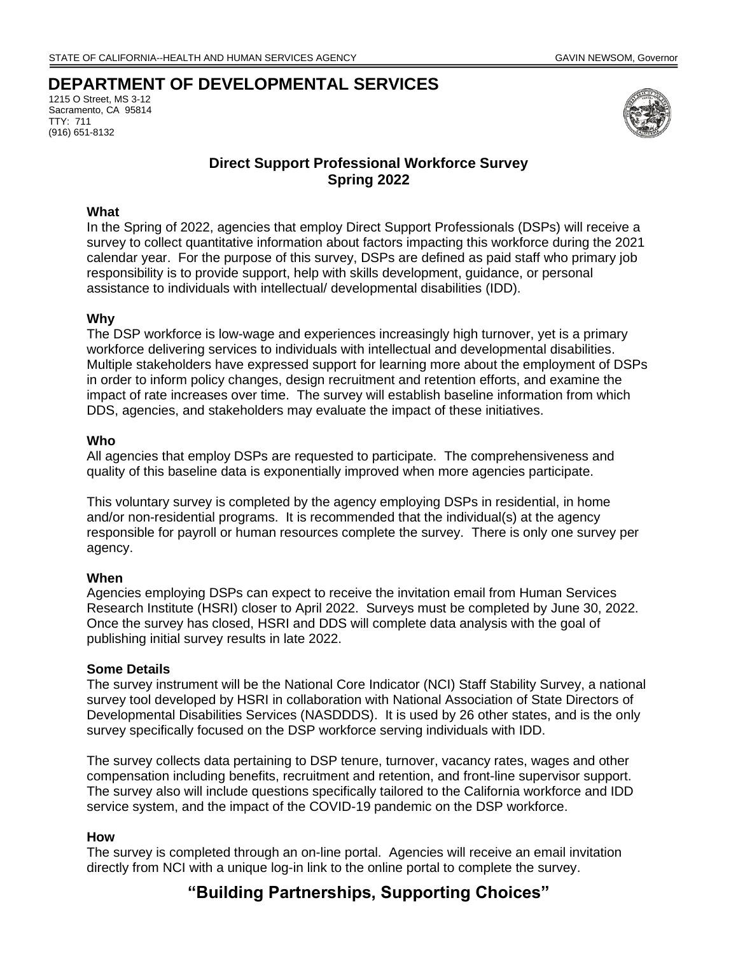## **DEPARTMENT OF DEVELOPMENTAL SERVICES**

1215 O Street, MS 3-12 Sacramento, CA 95814 TTY: 711 (916) 651-8132



### **Direct Support Professional Workforce Survey Spring 2022**

#### **What**

In the Spring of 2022, agencies that employ Direct Support Professionals (DSPs) will receive a survey to collect quantitative information about factors impacting this workforce during the 2021 calendar year. For the purpose of this survey, DSPs are defined as paid staff who primary job responsibility is to provide support, help with skills development, guidance, or personal assistance to individuals with intellectual/ developmental disabilities (IDD).

#### **Why**

The DSP workforce is low-wage and experiences increasingly high turnover, yet is a primary workforce delivering services to individuals with intellectual and developmental disabilities. Multiple stakeholders have expressed support for learning more about the employment of DSPs in order to inform policy changes, design recruitment and retention efforts, and examine the impact of rate increases over time. The survey will establish baseline information from which DDS, agencies, and stakeholders may evaluate the impact of these initiatives.

#### **Who**

All agencies that employ DSPs are requested to participate. The comprehensiveness and quality of this baseline data is exponentially improved when more agencies participate.

This voluntary survey is completed by the agency employing DSPs in residential, in home and/or non-residential programs. It is recommended that the individual(s) at the agency responsible for payroll or human resources complete the survey. There is only one survey per agency.

#### **When**

Agencies employing DSPs can expect to receive the invitation email from Human Services Research Institute (HSRI) closer to April 2022. Surveys must be completed by June 30, 2022. Once the survey has closed, HSRI and DDS will complete data analysis with the goal of publishing initial survey results in late 2022.

#### **Some Details**

The survey instrument will be the National Core Indicator (NCI) Staff Stability Survey, a national survey tool developed by HSRI in collaboration with National Association of State Directors of Developmental Disabilities Services (NASDDDS). It is used by 26 other states, and is the only survey specifically focused on the DSP workforce serving individuals with IDD.

The survey collects data pertaining to DSP tenure, turnover, vacancy rates, wages and other compensation including benefits, recruitment and retention, and front-line supervisor support. The survey also will include questions specifically tailored to the California workforce and IDD service system, and the impact of the COVID-19 pandemic on the DSP workforce.

#### **How**

The survey is completed through an on-line portal. Agencies will receive an email invitation directly from NCI with a unique log-in link to the online portal to complete the survey.

# **"Building Partnerships, Supporting Choices"**